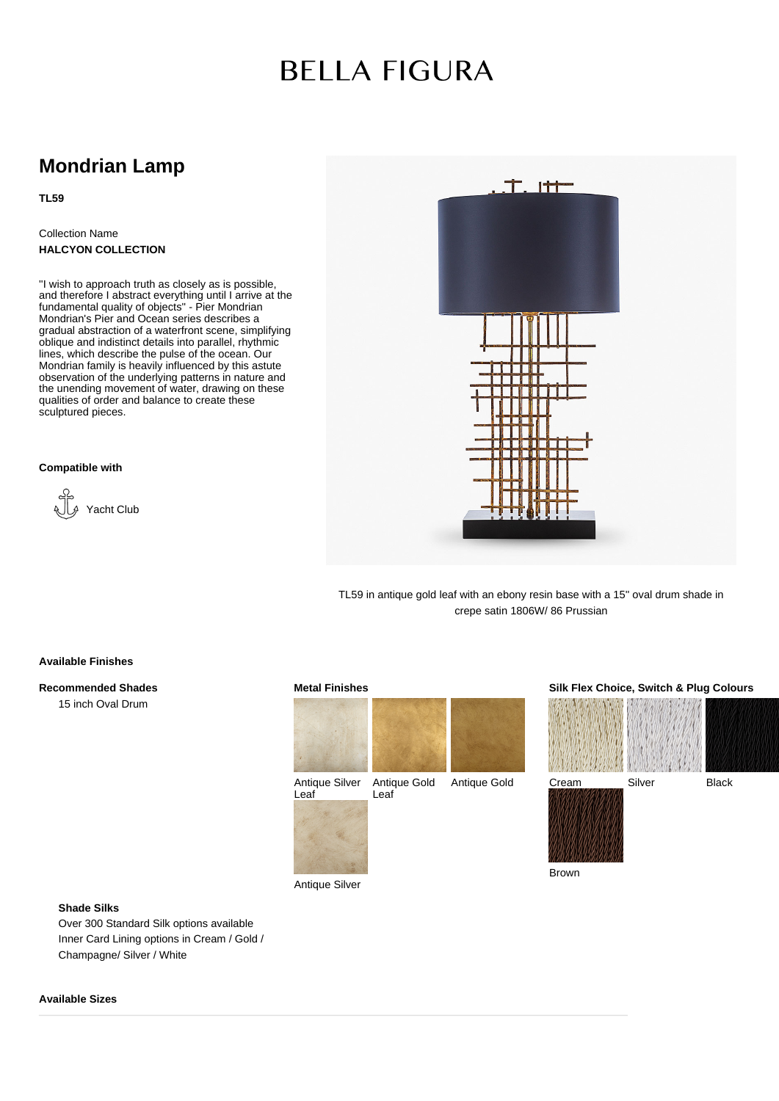# **BELLA FIGURA**

### **Mondrian Lamp**

**TL59**

Collection Name **HALCYON COLLECTION**

''I wish to approach truth as closely as is possible, and therefore I abstract everything until I arrive at the fundamental quality of objects" - Pier Mondrian Mondrian's Pier and Ocean series describes a gradual abstraction of a waterfront scene, simplifying oblique and indistinct details into parallel, rhythmic lines, which describe the pulse of the ocean. Our Mondrian family is heavily influenced by this astute observation of the underlying patterns in nature and the unending movement of water, drawing on these qualities of order and balance to create these sculptured pieces.

**Compatible with**





TL59 in antique gold leaf with an ebony resin base with a 15'' oval drum shade in crepe satin 1806W/ 86 Prussian

#### **Available Finishes**

**Recommended Shades**

15 inch Oval Drum



Leaf

Antique Silver





Brown

**Shade Silks**

Over 300 Standard Silk options available Inner Card Lining options in Cream / Gold / Champagne/ Silver / White

#### **Available Sizes**